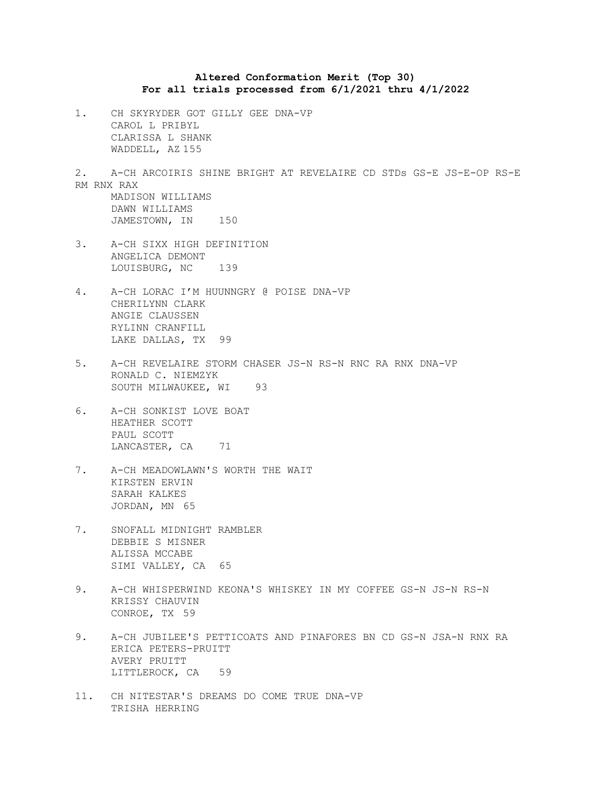## **Altered Conformation Merit (Top 30) For all trials processed from 6/1/2021 thru 4/1/2022**

1. CH SKYRYDER GOT GILLY GEE DNA-VP CAROL L PRIBYL CLARISSA L SHANK WADDELL, AZ 155

2. A-CH ARCOIRIS SHINE BRIGHT AT REVELAIRE CD STDs GS-E JS-E-OP RS-E RM RNX RAX MADISON WILLIAMS DAWN WILLIAMS

- JAMESTOWN, IN 150
- 3. A-CH SIXX HIGH DEFINITION ANGELICA DEMONT LOUISBURG, NC 139
- 4. A-CH LORAC I'M HUUNNGRY @ POISE DNA-VP CHERILYNN CLARK ANGIE CLAUSSEN RYLINN CRANFILL LAKE DALLAS, TX 99
- 5. A-CH REVELAIRE STORM CHASER JS-N RS-N RNC RA RNX DNA-VP RONALD C. NIEMZYK SOUTH MILWAUKEE, WI 93
- 6. A-CH SONKIST LOVE BOAT HEATHER SCOTT PAUL SCOTT LANCASTER, CA 71
- 7. A-CH MEADOWLAWN'S WORTH THE WAIT KIRSTEN ERVIN SARAH KALKES JORDAN, MN 65
- 7. SNOFALL MIDNIGHT RAMBLER DEBBIE S MISNER ALISSA MCCABE SIMI VALLEY, CA 65
- 9. A-CH WHISPERWIND KEONA'S WHISKEY IN MY COFFEE GS-N JS-N RS-N KRISSY CHAUVIN CONROE, TX 59
- 9. A-CH JUBILEE'S PETTICOATS AND PINAFORES BN CD GS-N JSA-N RNX RA ERICA PETERS-PRUITT AVERY PRUITT LITTLEROCK, CA 59
- 11. CH NITESTAR'S DREAMS DO COME TRUE DNA-VP TRISHA HERRING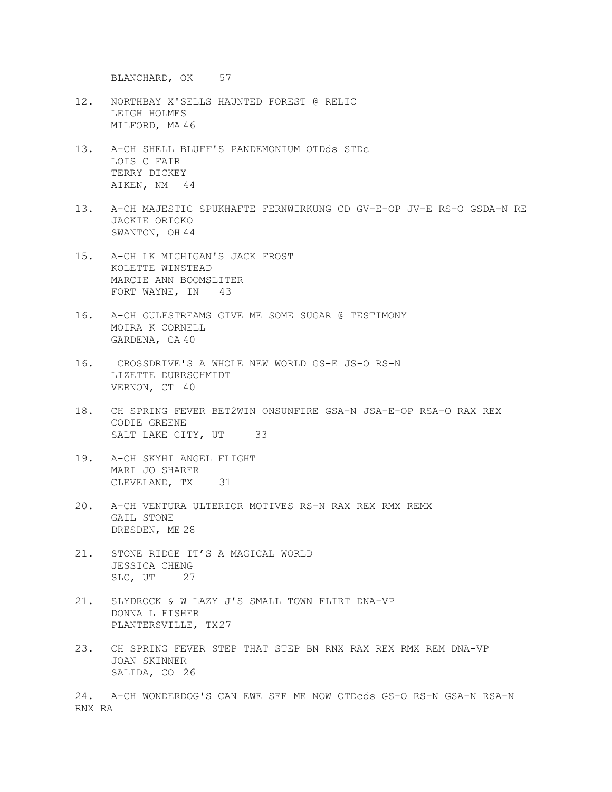BLANCHARD, OK 57

- 12. NORTHBAY X'SELLS HAUNTED FOREST @ RELIC LEIGH HOLMES MILFORD, MA 46
- 13. A-CH SHELL BLUFF'S PANDEMONIUM OTDds STDc LOIS C FAIR TERRY DICKEY AIKEN, NM 44
- 13. A-CH MAJESTIC SPUKHAFTE FERNWIRKUNG CD GV-E-OP JV-E RS-O GSDA-N RE JACKIE ORICKO SWANTON, OH 44
- 15. A-CH LK MICHIGAN'S JACK FROST KOLETTE WINSTEAD MARCIE ANN BOOMSLITER FORT WAYNE, IN 43
- 16. A-CH GULFSTREAMS GIVE ME SOME SUGAR @ TESTIMONY MOIRA K CORNELL GARDENA, CA 40
- 16. CROSSDRIVE'S A WHOLE NEW WORLD GS-E JS-O RS-N LIZETTE DURRSCHMIDT VERNON, CT 40
- 18. CH SPRING FEVER BET2WIN ONSUNFIRE GSA-N JSA-E-OP RSA-O RAX REX CODIE GREENE SALT LAKE CITY, UT 33
- 19. A-CH SKYHI ANGEL FLIGHT MARI JO SHARER CLEVELAND, TX 31
- 20. A-CH VENTURA ULTERIOR MOTIVES RS-N RAX REX RMX REMX GAIL STONE DRESDEN, ME 28
- 21. STONE RIDGE IT'S A MAGICAL WORLD JESSICA CHENG SLC, UT 27
- 21. SLYDROCK & W LAZY J'S SMALL TOWN FLIRT DNA-VP DONNA L FISHER PLANTERSVILLE, TX27
- 23. CH SPRING FEVER STEP THAT STEP BN RNX RAX REX RMX REM DNA-VP JOAN SKINNER SALIDA, CO 26

24. A-CH WONDERDOG'S CAN EWE SEE ME NOW OTDcds GS-O RS-N GSA-N RSA-N RNX RA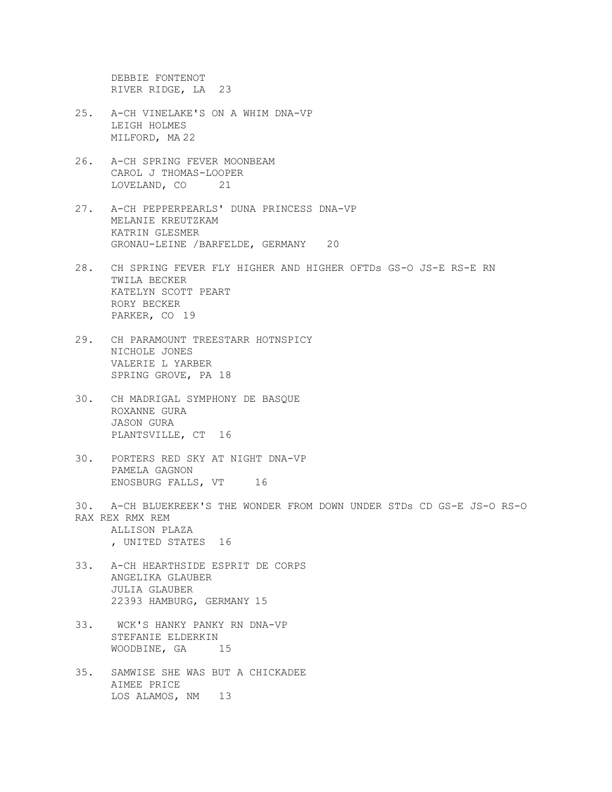DEBBIE FONTENOT RIVER RIDGE, LA 23

- 25. A-CH VINELAKE'S ON A WHIM DNA-VP LEIGH HOLMES MILFORD, MA 22
- 26. A-CH SPRING FEVER MOONBEAM CAROL J THOMAS-LOOPER LOVELAND, CO 21
- 27. A-CH PEPPERPEARLS' DUNA PRINCESS DNA-VP MELANIE KREUTZKAM KATRIN GLESMER GRONAU-LEINE /BARFELDE, GERMANY 20
- 28. CH SPRING FEVER FLY HIGHER AND HIGHER OFTDs GS-O JS-E RS-E RN TWILA BECKER KATELYN SCOTT PEART RORY BECKER PARKER, CO 19
- 29. CH PARAMOUNT TREESTARR HOTNSPICY NICHOLE JONES VALERIE L YARBER SPRING GROVE, PA 18
- 30. CH MADRIGAL SYMPHONY DE BASQUE ROXANNE GURA JASON GURA PLANTSVILLE, CT 16
- 30. PORTERS RED SKY AT NIGHT DNA-VP PAMELA GAGNON ENOSBURG FALLS, VT 16
- 30. A-CH BLUEKREEK'S THE WONDER FROM DOWN UNDER STDs CD GS-E JS-O RS-O RAX REX RMX REM ALLISON PLAZA , UNITED STATES 16
- 33. A-CH HEARTHSIDE ESPRIT DE CORPS ANGELIKA GLAUBER JULIA GLAUBER 22393 HAMBURG, GERMANY 15
- 33. WCK'S HANKY PANKY RN DNA-VP STEFANIE ELDERKIN WOODBINE, GA 15
- 35. SAMWISE SHE WAS BUT A CHICKADEE AIMEE PRICE LOS ALAMOS, NM 13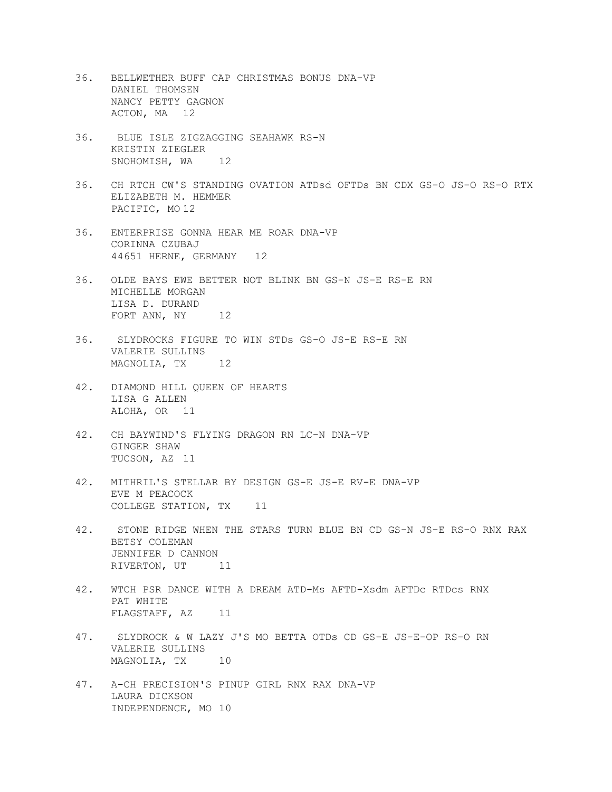- 36. BELLWETHER BUFF CAP CHRISTMAS BONUS DNA-VP DANIEL THOMSEN NANCY PETTY GAGNON ACTON, MA 12
- 36. BLUE ISLE ZIGZAGGING SEAHAWK RS-N KRISTIN ZIEGLER SNOHOMISH, WA<sub>12</sub>
- 36. CH RTCH CW'S STANDING OVATION ATDsd OFTDs BN CDX GS-O JS-O RS-O RTX ELIZABETH M. HEMMER PACIFIC, MO 12
- 36. ENTERPRISE GONNA HEAR ME ROAR DNA-VP CORINNA CZUBAJ 44651 HERNE, GERMANY 12
- 36. OLDE BAYS EWE BETTER NOT BLINK BN GS-N JS-E RS-E RN MICHELLE MORGAN LISA D. DURAND FORT ANN, NY 12
- 36. SLYDROCKS FIGURE TO WIN STDs GS-O JS-E RS-E RN VALERIE SULLINS MAGNOLIA, TX 12
- 42. DIAMOND HILL QUEEN OF HEARTS LISA G ALLEN ALOHA, OR 11
- 42. CH BAYWIND'S FLYING DRAGON RN LC-N DNA-VP GINGER SHAW TUCSON, AZ 11
- 42. MITHRIL'S STELLAR BY DESIGN GS-E JS-E RV-E DNA-VP EVE M PEACOCK COLLEGE STATION, TX 11
- 42. STONE RIDGE WHEN THE STARS TURN BLUE BN CD GS-N JS-E RS-O RNX RAX BETSY COLEMAN JENNIFER D CANNON RIVERTON, UT<sub>11</sub>
- 42. WTCH PSR DANCE WITH A DREAM ATD-Ms AFTD-Xsdm AFTDc RTDcs RNX PAT WHITE FLAGSTAFF, AZ 11
- 47. SLYDROCK & W LAZY J'S MO BETTA OTDs CD GS-E JS-E-OP RS-O RN VALERIE SULLINS MAGNOLIA, TX 10
- 47. A-CH PRECISION'S PINUP GIRL RNX RAX DNA-VP LAURA DICKSON INDEPENDENCE, MO 10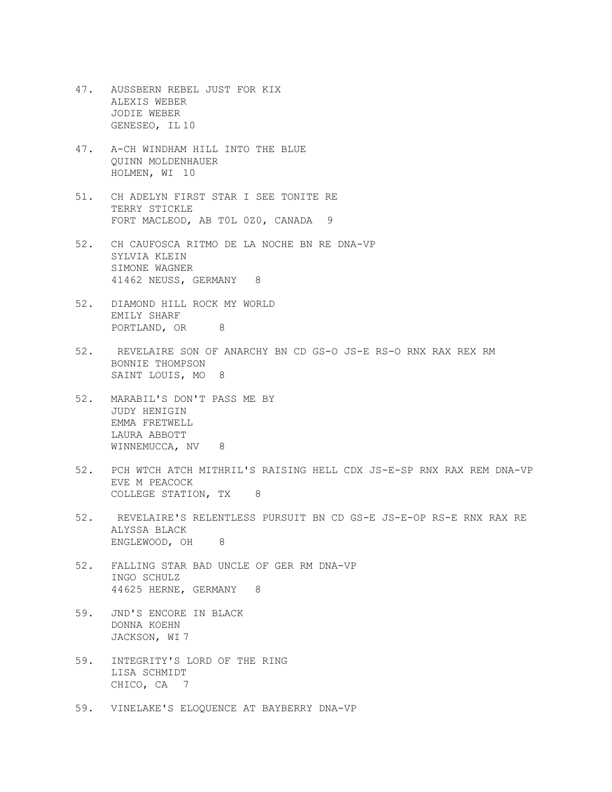- 47. AUSSBERN REBEL JUST FOR KIX ALEXIS WEBER JODIE WEBER GENESEO, IL 10
- 47. A-CH WINDHAM HILL INTO THE BLUE QUINN MOLDENHAUER HOLMEN, WI 10
- 51. CH ADELYN FIRST STAR I SEE TONITE RE TERRY STICKLE FORT MACLEOD, AB T0L 0Z0, CANADA 9
- 52. CH CAUFOSCA RITMO DE LA NOCHE BN RE DNA-VP SYLVIA KLEIN SIMONE WAGNER 41462 NEUSS, GERMANY 8
- 52. DIAMOND HILL ROCK MY WORLD EMILY SHARF PORTLAND, OR 8
- 52. REVELAIRE SON OF ANARCHY BN CD GS-O JS-E RS-O RNX RAX REX RM BONNIE THOMPSON SAINT LOUIS, MO 8
- 52. MARABIL'S DON'T PASS ME BY JUDY HENIGIN EMMA FRETWELL LAURA ABBOTT WINNEMUCCA, NV 8
- 52. PCH WTCH ATCH MITHRIL'S RAISING HELL CDX JS-E-SP RNX RAX REM DNA-VP EVE M PEACOCK COLLEGE STATION, TX 8
- 52. REVELAIRE'S RELENTLESS PURSUIT BN CD GS-E JS-E-OP RS-E RNX RAX RE ALYSSA BLACK ENGLEWOOD, OH 8
- 52. FALLING STAR BAD UNCLE OF GER RM DNA-VP INGO SCHULZ 44625 HERNE, GERMANY 8
- 59. JND'S ENCORE IN BLACK DONNA KOEHN JACKSON, WI 7
- 59. INTEGRITY'S LORD OF THE RING LISA SCHMIDT CHICO, CA 7
- 59. VINELAKE'S ELOQUENCE AT BAYBERRY DNA-VP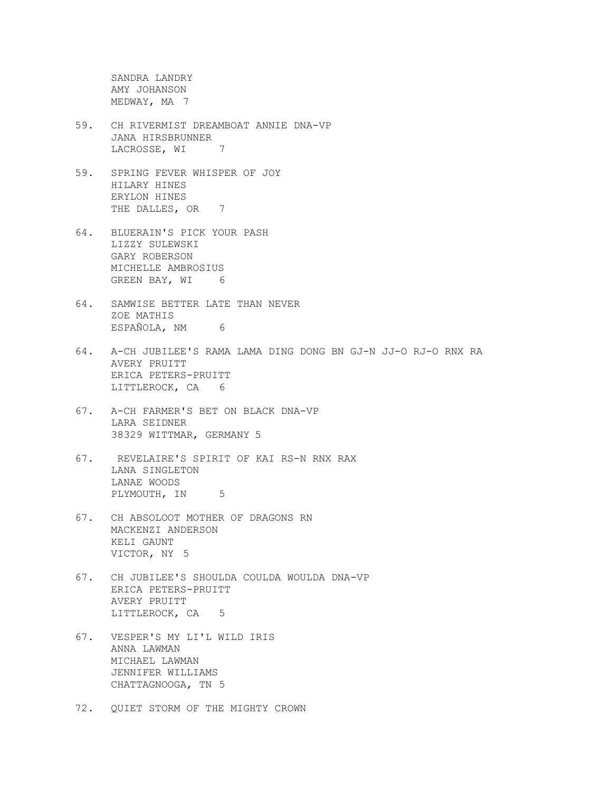SANDRA LANDRY AMY JOHANSON MEDWAY, MA 7

- 59. CH RIVERMIST DREAMBOAT ANNIE DNA-VP JANA HIRSBRUNNER LACROSSE, WI 7
- 59. SPRING FEVER WHISPER OF JOY HILARY HINES ERYLON HINES THE DALLES, OR 7
- 64. BLUERAIN'S PICK YOUR PASH LIZZY SULEWSKI GARY ROBERSON MICHELLE AMBROSIUS GREEN BAY, WI 6
- 64. SAMWISE BETTER LATE THAN NEVER ZOE MATHIS ESPAÑOLA, NM 6
- 64. A-CH JUBILEE'S RAMA LAMA DING DONG BN GJ-N JJ-O RJ-O RNX RA AVERY PRUITT ERICA PETERS-PRUITT LITTLEROCK, CA 6
- 67. A-CH FARMER'S BET ON BLACK DNA-VP LARA SEIDNER 38329 WITTMAR, GERMANY 5
- 67. REVELAIRE'S SPIRIT OF KAI RS-N RNX RAX LANA SINGLETON LANAE WOODS PLYMOUTH, IN 5
- 67. CH ABSOLOOT MOTHER OF DRAGONS RN MACKENZI ANDERSON KELI GAUNT VICTOR, NY 5
- 67. CH JUBILEE'S SHOULDA COULDA WOULDA DNA-VP ERICA PETERS-PRUITT AVERY PRUITT LITTLEROCK, CA 5
- 67. VESPER'S MY LI'L WILD IRIS ANNA LAWMAN MICHAEL LAWMAN JENNIFER WILLIAMS CHATTAGNOOGA, TN 5
- 72. QUIET STORM OF THE MIGHTY CROWN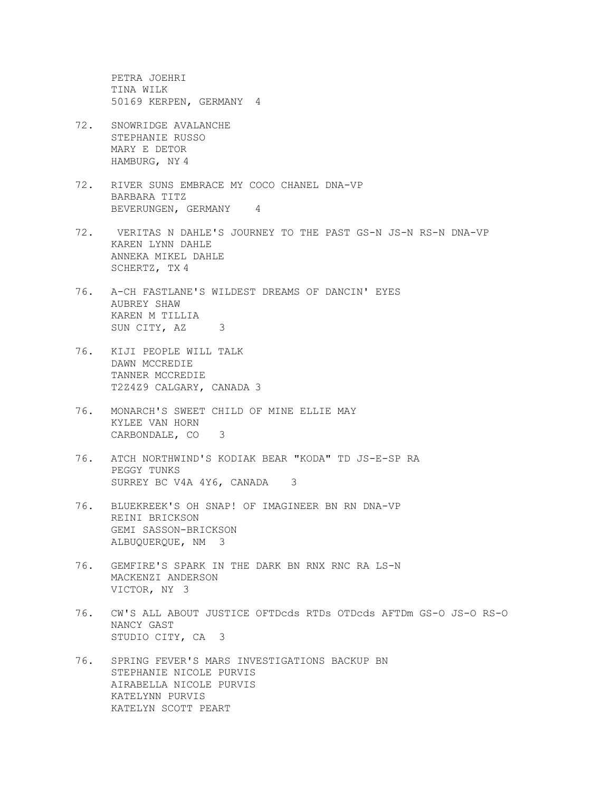PETRA JOEHRI TINA WILK 50169 KERPEN, GERMANY 4

- 72. SNOWRIDGE AVALANCHE STEPHANIE RUSSO MARY E DETOR HAMBURG, NY 4
- 72. RIVER SUNS EMBRACE MY COCO CHANEL DNA-VP BARBARA TITZ BEVERUNGEN, GERMANY 4
- 72. VERITAS N DAHLE'S JOURNEY TO THE PAST GS-N JS-N RS-N DNA-VP KAREN LYNN DAHLE ANNEKA MIKEL DAHLE SCHERTZ, TX 4
- 76. A-CH FASTLANE'S WILDEST DREAMS OF DANCIN' EYES AUBREY SHAW KAREN M TILLIA SUN CITY, AZ 3
- 76. KIJI PEOPLE WILL TALK DAWN MCCREDIE TANNER MCCREDIE T2Z4Z9 CALGARY, CANADA 3
- 76. MONARCH'S SWEET CHILD OF MINE ELLIE MAY KYLEE VAN HORN CARBONDALE, CO 3
- 76. ATCH NORTHWIND'S KODIAK BEAR "KODA" TD JS-E-SP RA PEGGY TUNKS SURREY BC V4A 4Y6, CANADA 3
- 76. BLUEKREEK'S OH SNAP! OF IMAGINEER BN RN DNA-VP REINI BRICKSON GEMI SASSON-BRICKSON ALBUQUERQUE, NM 3
- 76. GEMFIRE'S SPARK IN THE DARK BN RNX RNC RA LS-N MACKENZI ANDERSON VICTOR, NY 3
- 76. CW'S ALL ABOUT JUSTICE OFTDcds RTDs OTDcds AFTDm GS-O JS-O RS-O NANCY GAST STUDIO CITY, CA 3
- 76. SPRING FEVER'S MARS INVESTIGATIONS BACKUP BN STEPHANIE NICOLE PURVIS AIRABELLA NICOLE PURVIS KATELYNN PURVIS KATELYN SCOTT PEART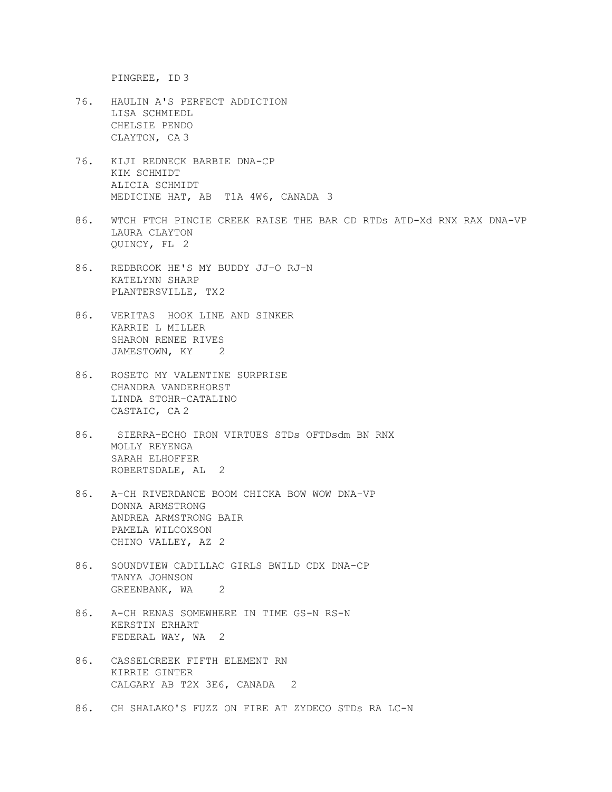PINGREE, ID 3

- 76. HAULIN A'S PERFECT ADDICTION LISA SCHMIEDL CHELSIE PENDO CLAYTON, CA 3
- 76. KIJI REDNECK BARBIE DNA-CP KIM SCHMIDT ALICIA SCHMIDT MEDICINE HAT, AB T1A 4W6, CANADA 3
- 86. WTCH FTCH PINCIE CREEK RAISE THE BAR CD RTDs ATD-Xd RNX RAX DNA-VP LAURA CLAYTON QUINCY, FL 2
- 86. REDBROOK HE'S MY BUDDY JJ-O RJ-N KATELYNN SHARP PLANTERSVILLE, TX2
- 86. VERITAS HOOK LINE AND SINKER KARRIE L MILLER SHARON RENEE RIVES JAMESTOWN, KY 2
- 86. ROSETO MY VALENTINE SURPRISE CHANDRA VANDERHORST LINDA STOHR-CATALINO CASTAIC, CA 2
- 86. SIERRA-ECHO IRON VIRTUES STDs OFTDsdm BN RNX MOLLY REYENGA SARAH ELHOFFER ROBERTSDALE, AL 2
- 86. A-CH RIVERDANCE BOOM CHICKA BOW WOW DNA-VP DONNA ARMSTRONG ANDREA ARMSTRONG BAIR PAMELA WILCOXSON CHINO VALLEY, AZ 2
- 86. SOUNDVIEW CADILLAC GIRLS BWILD CDX DNA-CP TANYA JOHNSON GREENBANK, WA<sub>2</sub>
- 86. A-CH RENAS SOMEWHERE IN TIME GS-N RS-N KERSTIN ERHART FEDERAL WAY, WA 2
- 86. CASSELCREEK FIFTH ELEMENT RN KIRRIE GINTER CALGARY AB T2X 3E6, CANADA 2
- 86. CH SHALAKO'S FUZZ ON FIRE AT ZYDECO STDs RA LC-N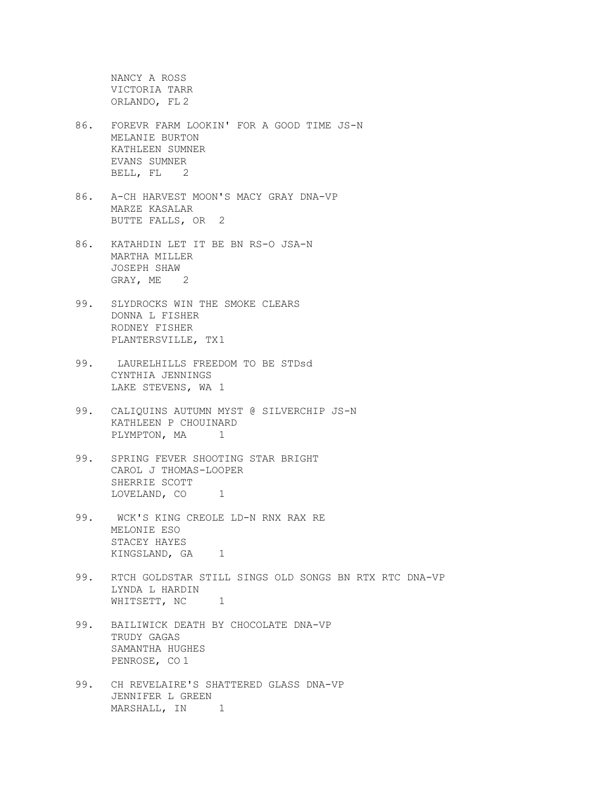NANCY A ROSS VICTORIA TARR ORLANDO, FL 2

- 86. FOREVR FARM LOOKIN' FOR A GOOD TIME JS-N MELANIE BURTON KATHLEEN SUMNER EVANS SUMNER BELL, FL 2
- 86. A-CH HARVEST MOON'S MACY GRAY DNA-VP MARZE KASALAR BUTTE FALLS, OR 2
- 86. KATAHDIN LET IT BE BN RS-O JSA-N MARTHA MILLER JOSEPH SHAW GRAY, ME 2
- 99. SLYDROCKS WIN THE SMOKE CLEARS DONNA L FISHER RODNEY FISHER PLANTERSVILLE, TX1
- 99. LAURELHILLS FREEDOM TO BE STDsd CYNTHIA JENNINGS LAKE STEVENS, WA 1
- 99. CALIQUINS AUTUMN MYST @ SILVERCHIP JS-N KATHLEEN P CHOUINARD PLYMPTON, MA<sub>1</sub>
- 99. SPRING FEVER SHOOTING STAR BRIGHT CAROL J THOMAS-LOOPER SHERRIE SCOTT LOVELAND, CO<sub>1</sub>
- 99. WCK'S KING CREOLE LD-N RNX RAX RE MELONIE ESO STACEY HAYES KINGSLAND, GA<sub>1</sub>
- 99. RTCH GOLDSTAR STILL SINGS OLD SONGS BN RTX RTC DNA-VP LYNDA L HARDIN WHITSETT, NC 1
- 99. BAILIWICK DEATH BY CHOCOLATE DNA-VP TRUDY GAGAS SAMANTHA HUGHES PENROSE, CO 1
- 99. CH REVELAIRE'S SHATTERED GLASS DNA-VP JENNIFER L GREEN MARSHALL, IN 1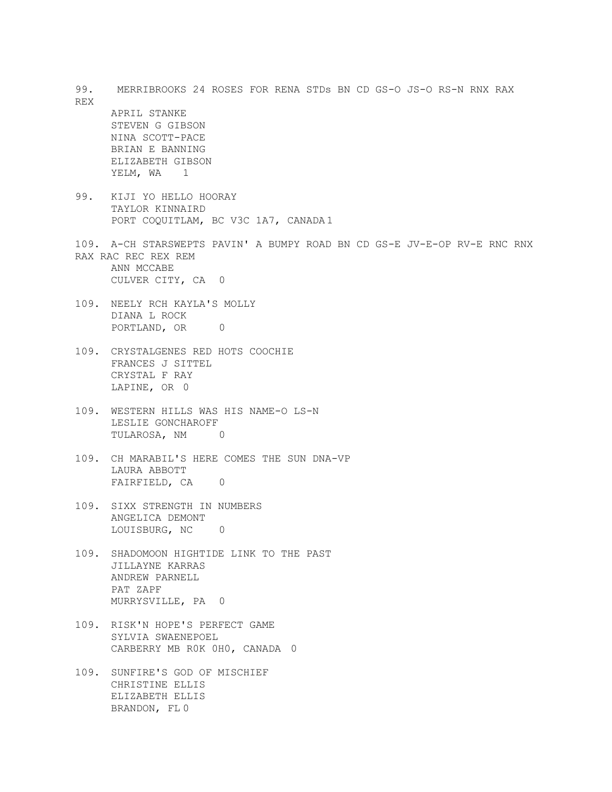| REX  | 99. MERRIBROOKS 24 ROSES FOR RENA STDs BN CD GS-O JS-O RS-N RNX RAX                                                                |
|------|------------------------------------------------------------------------------------------------------------------------------------|
|      | APRIL STANKE<br>STEVEN G GIBSON<br>NINA SCOTT-PACE<br>BRIAN E BANNING<br>ELIZABETH GIBSON<br>YELM, WA <sub>1</sub>                 |
| 99.  | KIJI YO HELLO HOORAY<br>TAYLOR KINNAIRD<br>PORT COQUITLAM, BC V3C 1A7, CANADA1                                                     |
|      | 109. A-CH STARSWEPTS PAVIN' A BUMPY ROAD BN CD GS-E JV-E-OP RV-E RNC RNX<br>RAX RAC REC REX REM<br>ANN MCCABE<br>CULVER CITY, CA 0 |
| 109. | NEELY RCH KAYLA'S MOLLY<br>DIANA L ROCK<br>PORTLAND, OR 0                                                                          |
|      | 109. CRYSTALGENES RED HOTS COOCHIE<br>FRANCES J SITTEL<br>CRYSTAL F RAY<br>LAPINE, OR 0                                            |
| 109. | WESTERN HILLS WAS HIS NAME-O LS-N<br>LESLIE GONCHAROFF<br>TULAROSA, NM<br>$\overline{a}$                                           |
| 109. | CH MARABIL'S HERE COMES THE SUN DNA-VP<br>LAURA ABBOTT<br>FAIRFIELD, CA 0                                                          |
|      | 109. SIXX STRENGTH IN NUMBERS<br>ANGELICA DEMONT<br>LOUISBURG, NC 0                                                                |
| 109. | SHADOMOON HIGHTIDE LINK TO THE PAST<br>JILLAYNE KARRAS<br>ANDREW PARNELL<br>PAT ZAPF<br>MURRYSVILLE, PA 0                          |
| 109. | RISK'N HOPE'S PERFECT GAME<br>SYLVIA SWAENEPOEL<br>CARBERRY MB ROK OHO, CANADA 0                                                   |
| 109. | SUNFIRE'S GOD OF MISCHIEF<br>CHRISTINE ELLIS<br>ELIZABETH ELLIS<br>BRANDON, FL 0                                                   |